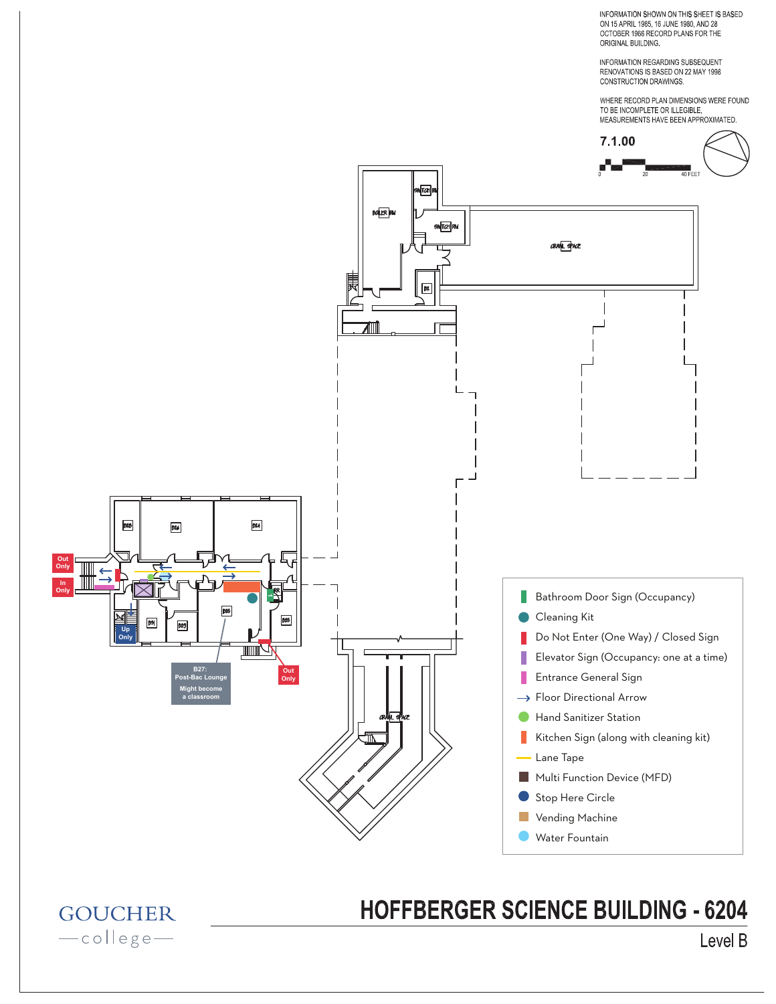INFORMATION SHOWN ON THIS SHEET IS BASED ON 15 APRIL 1985, 16 JUNE 1980, AND 28 OCTOBER 1966 RECORD PLANS FOR THE ORIGINAL BUILDING.

INFORMATION REGARDING SUBSEQUENT<br>RENOVATIONS IS BASED ON 22 MAY 1998 CONSTRUCTION DRAWINGS.

WHERE RECORD PLAN DIMENSIONS WERE FOUND



## **HOFFBERGER SCIENCE BUILDING - 6204**

**GOUCHER** -college-

## Level B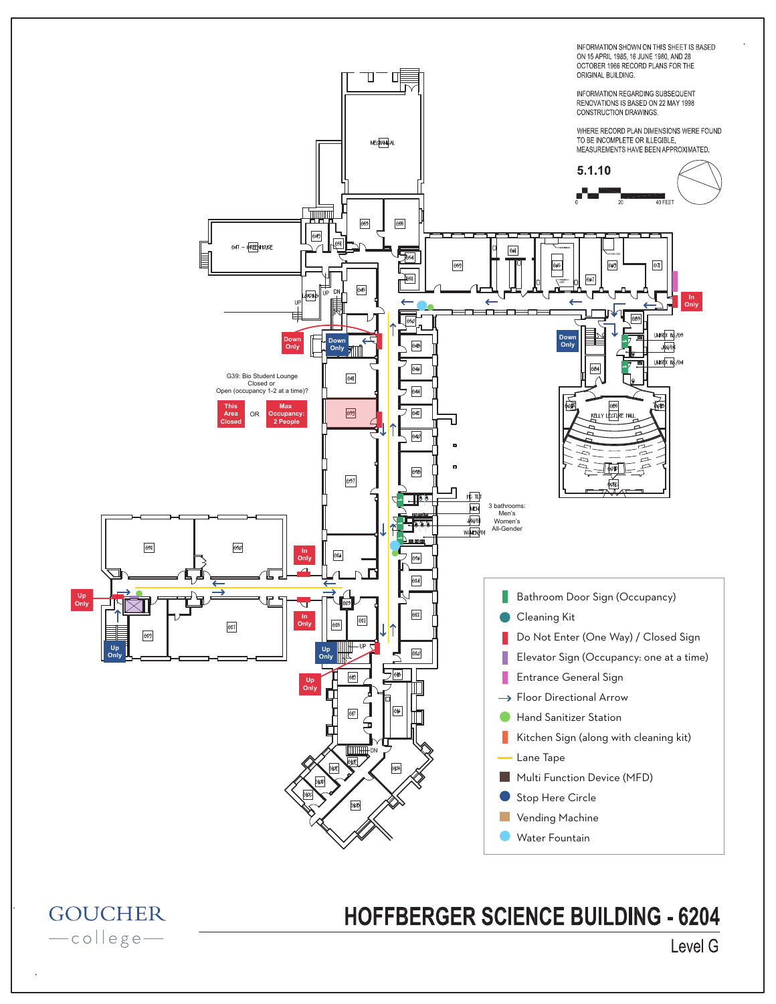

-college-

**HOFFBERGER SCIENCE BUILDING - 6204** 

Level G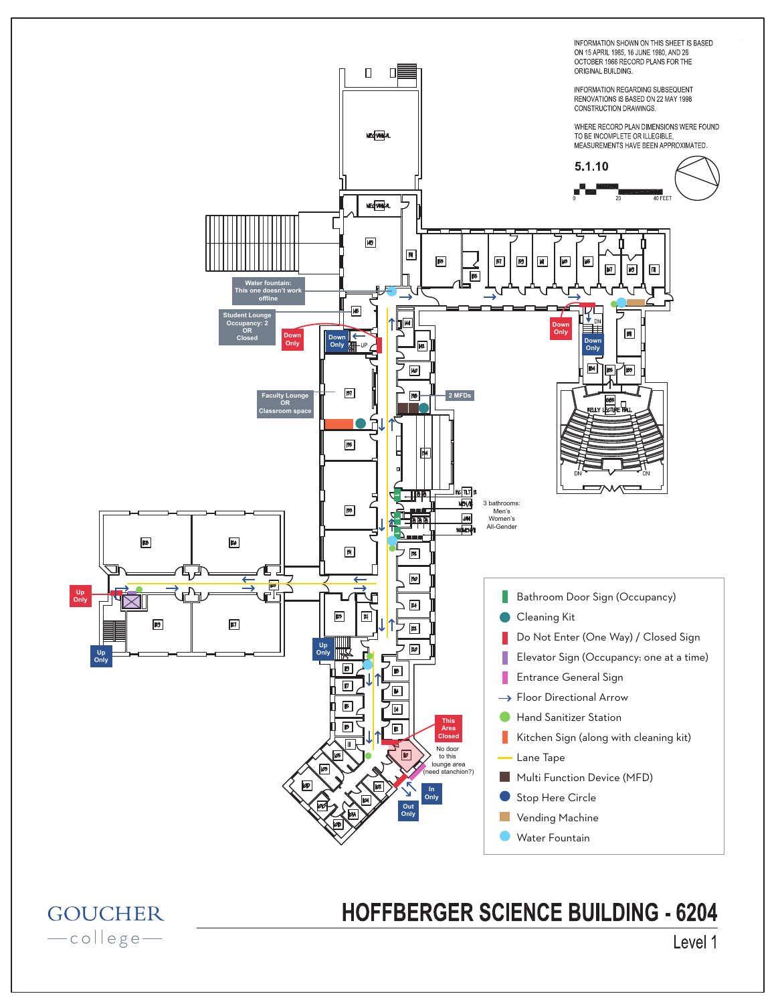

**GOUCHER** -college-

## **HOFFBERGER SCIENCE BUILDING - 6204**

Level 1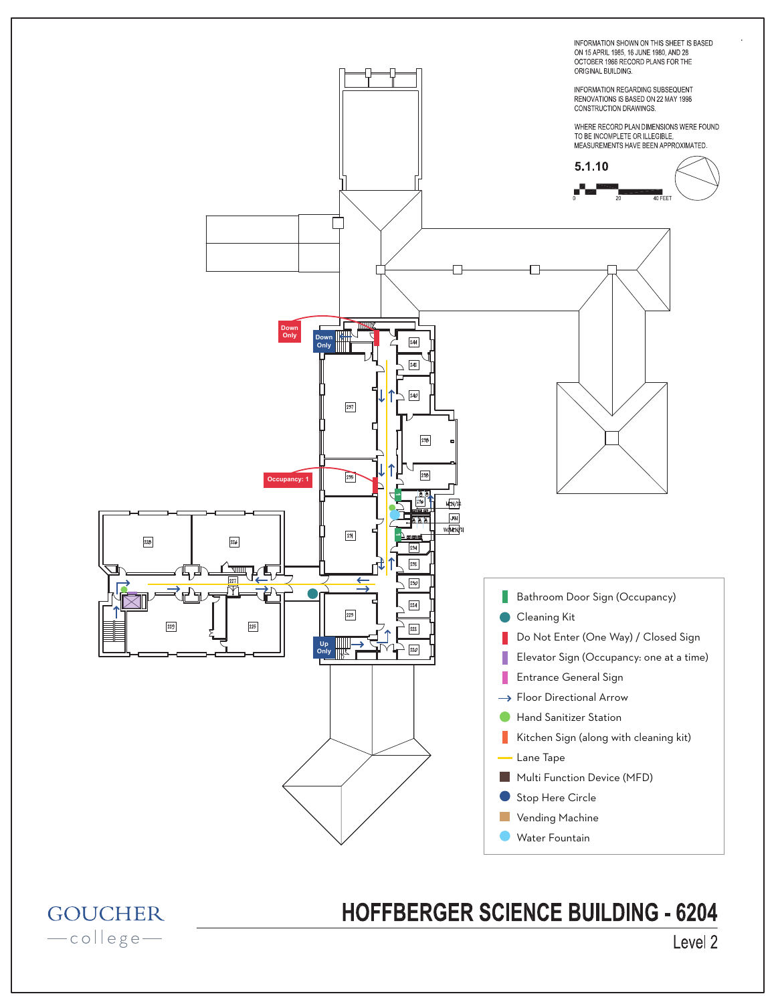

**HOFFBERGER SCIENCE BUILDING - 6204** 

**GOUCHER** -college-

## Level 2